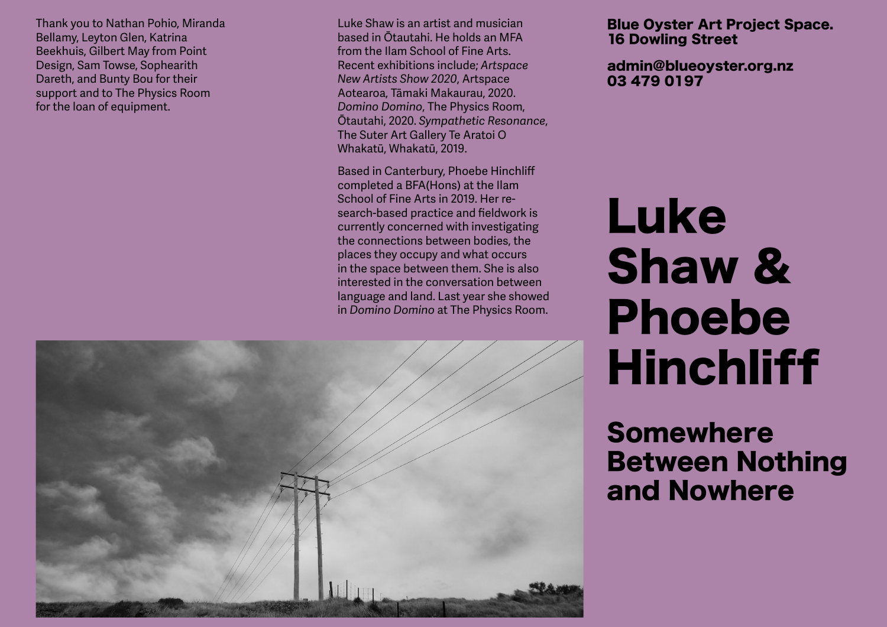Thank you to Nathan Pohio, Miranda Bellamy, Leyton Glen, Katrina Beekhuis, Gilbert May from Point Design, Sam Towse, Sophearith Dareth, and Bunty Bou for their support and to The Physics Room for the loan of equipment.

Luke Shaw is an artist and musician based in Ōtautahi. He holds an MFA from the Ilam School of Fine Arts. Recent exhibitions include; *Artspace New Artists Show 2020*, Artspace Aotearoa, Tāmaki Makaurau, 2020. *Domino Domino*, The Physics Room, Ōtautahi, 2020. *Sympathetic Resonance*, The Suter Art Gallery Te Aratoi O Whakatū, Whakatū, 2019.

Based in Canterbury, Phoebe Hinchliff completed a BFA(Hons) at the Ilam School of Fine Arts in 2019. Her re search-based practice and fieldwork is currently concerned with investigating the connections between bodies, the places they occupy and what occurs in the space between them. She is also interested in the conversation between language and land. Last year she showed in *Domino Domino* at The Physics Room.



## Blue Oyster Art Project Space. 16 Dowling Street

admin@blueoyster.org.nz 03 479 0197

## Luke Shaw & Phoebe **Hinchliff**

## Somewhere Between Nothing and Nowhere